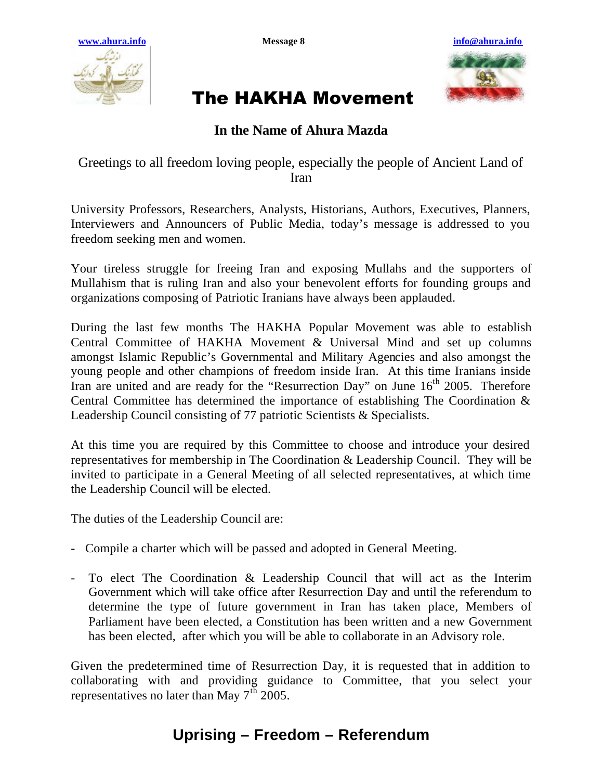



## The HAKHA Movement

## **In the Name of Ahura Mazda**

Greetings to all freedom loving people, especially the people of Ancient Land of Iran

University Professors, Researchers, Analysts, Historians, Authors, Executives, Planners, Interviewers and Announcers of Public Media, today's message is addressed to you freedom seeking men and women.

Your tireless struggle for freeing Iran and exposing Mullahs and the supporters of Mullahism that is ruling Iran and also your benevolent efforts for founding groups and organizations composing of Patriotic Iranians have always been applauded.

During the last few months The HAKHA Popular Movement was able to establish Central Committee of HAKHA Movement & Universal Mind and set up columns amongst Islamic Republic's Governmental and Military Agencies and also amongst the young people and other champions of freedom inside Iran. At this time Iranians inside Iran are united and are ready for the "Resurrection Day" on June  $16<sup>th</sup>$  2005. Therefore Central Committee has determined the importance of establishing The Coordination & Leadership Council consisting of 77 patriotic Scientists & Specialists.

At this time you are required by this Committee to choose and introduce your desired representatives for membership in The Coordination & Leadership Council. They will be invited to participate in a General Meeting of all selected representatives, at which time the Leadership Council will be elected.

The duties of the Leadership Council are:

- Compile a charter which will be passed and adopted in General Meeting.
- To elect The Coordination & Leadership Council that will act as the Interim Government which will take office after Resurrection Day and until the referendum to determine the type of future government in Iran has taken place, Members of Parliament have been elected, a Constitution has been written and a new Government has been elected, after which you will be able to collaborate in an Advisory role.

Given the predetermined time of Resurrection Day, it is requested that in addition to collaborating with and providing guidance to Committee, that you select your representatives no later than May  $7^{th}$  2005.

## **Uprising – Freedom – Referendum**